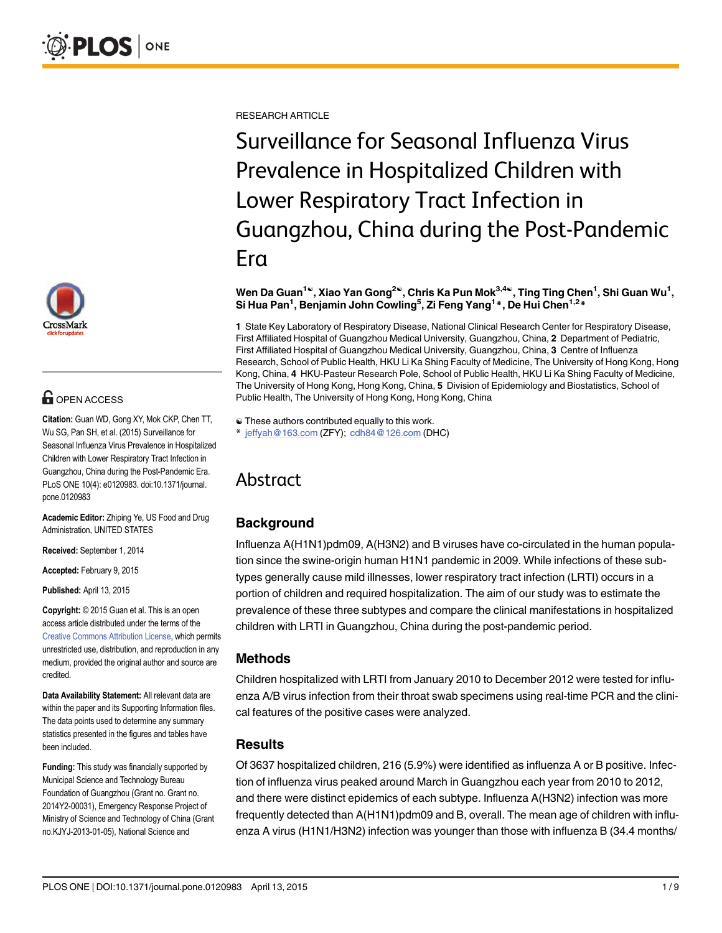

# **G** OPEN ACCESS

Citation: Guan WD, Gong XY, Mok CKP, Chen TT, Wu SG, Pan SH, et al. (2015) Surveillance for Seasonal Influenza Virus Prevalence in Hospitalized Children with Lower Respiratory Tract Infection in Guangzhou, China during the Post-Pandemic Era. PLoS ONE 10(4): e0120983. doi:10.1371/journal. pone.0120983

Academic Editor: Zhiping Ye, US Food and Drug Administration, UNITED STATES

Received: September 1, 2014

Accepted: February 9, 2015

Published: April 13, 2015

Copyright: © 2015 Guan et al. This is an open access article distributed under the terms of the [Creative Commons Attribution License,](http://creativecommons.org/licenses/by/4.0/) which permits unrestricted use, distribution, and reproduction in any medium, provided the original author and source are credited.

Data Availability Statement: All relevant data are within the paper and its Supporting Information files. The data points used to determine any summary statistics presented in the figures and tables have been included.

Funding: This study was financially supported by Municipal Science and Technology Bureau Foundation of Guangzhou (Grant no. Grant no. 2014Y2-00031), Emergency Response Project of Ministry of Science and Technology of China (Grant no.KJYJ-2013-01-05), National Science and

RESEARCH ARTICLE

Surveillance for Seasonal Influenza Virus Prevalence in Hospitalized Children with Lower Respiratory Tract Infection in Guangzhou, China during the Post-Pandemic Era

#### Wen Da Guan $^{1\circ}$ , Xiao Yan Gong $^{2\circ}$ , Chris Ka Pun Mok $^{3,4\circ}$ , Ting Ting Chen $^{1}$ , Shi Guan Wu $^{1},$ Si Hua Pan<sup>1</sup>, Benjamin John Cowling<sup>5</sup>, Zi Feng Yang<sup>1</sup>\*, De Hui Chen<sup>1,2</sup>\*

1 State Key Laboratory of Respiratory Disease, National Clinical Research Center for Respiratory Disease, First Affiliated Hospital of Guangzhou Medical University, Guangzhou, China, 2 Department of Pediatric, First Affiliated Hospital of Guangzhou Medical University, Guangzhou, China, 3 Centre of Influenza Research, School of Public Health, HKU Li Ka Shing Faculty of Medicine, The University of Hong Kong, Hong Kong, China, 4 HKU-Pasteur Research Pole, School of Public Health, HKU Li Ka Shing Faculty of Medicine, The University of Hong Kong, Hong Kong, China, 5 Division of Epidemiology and Biostatistics, School of Public Health, The University of Hong Kong, Hong Kong, China

☯ These authors contributed equally to this work.

\* jeffyah@163.com (ZFY); cdh84@126.com (DHC)

# Abstract

# **Background**

Influenza A(H1N1)pdm09, A(H3N2) and B viruses have co-circulated in the human population since the swine-origin human H1N1 pandemic in 2009. While infections of these subtypes generally cause mild illnesses, lower respiratory tract infection (LRTI) occurs in a portion of children and required hospitalization. The aim of our study was to estimate the prevalence of these three subtypes and compare the clinical manifestations in hospitalized children with LRTI in Guangzhou, China during the post-pandemic period.

# Methods

Children hospitalized with LRTI from January 2010 to December 2012 were tested for influenza A/B virus infection from their throat swab specimens using real-time PCR and the clinical features of the positive cases were analyzed.

# **Results**

Of 3637 hospitalized children, 216 (5.9%) were identified as influenza A or B positive. Infection of influenza virus peaked around March in Guangzhou each year from 2010 to 2012, and there were distinct epidemics of each subtype. Influenza A(H3N2) infection was more frequently detected than A(H1N1)pdm09 and B, overall. The mean age of children with influenza A virus (H1N1/H3N2) infection was younger than those with influenza B (34.4 months/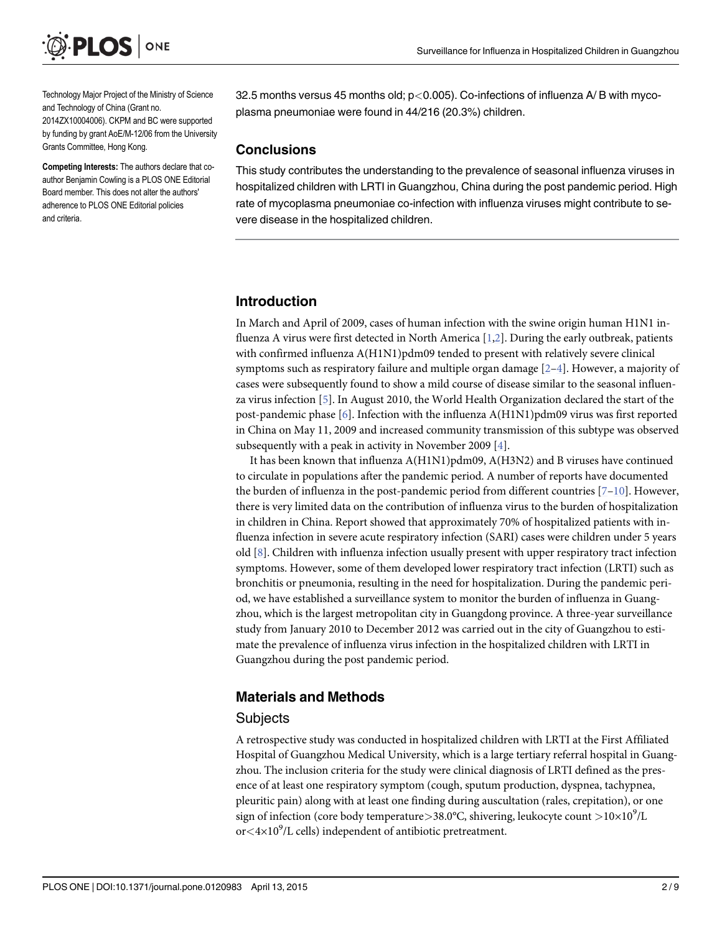<span id="page-1-0"></span>

Technology Major Project of the Ministry of Science and Technology of China (Grant no. 2014ZX10004006). CKPM and BC were supported by funding by grant AoE/M-12/06 from the University Grants Committee, Hong Kong.

Competing Interests: The authors declare that coauthor Benjamin Cowling is a PLOS ONE Editorial Board member. This does not alter the authors' adherence to PLOS ONE Editorial policies and criteria.

32.5 months versus 45 months old; p<0.005). Co-infections of influenza A/B with mycoplasma pneumoniae were found in 44/216 (20.3%) children.

#### **Conclusions**

This study contributes the understanding to the prevalence of seasonal influenza viruses in hospitalized children with LRTI in Guangzhou, China during the post pandemic period. High rate of mycoplasma pneumoniae co-infection with influenza viruses might contribute to severe disease in the hospitalized children.

#### Introduction

In March and April of 2009, cases of human infection with the swine origin human H1N1 influenza A virus were first detected in North America [[1,](#page-6-0)[2\]](#page-7-0). During the early outbreak, patients with confirmed influenza A(H1N1)pdm09 tended to present with relatively severe clinical symptoms such as respiratory failure and multiple organ damage  $[2-4]$  $[2-4]$  $[2-4]$  $[2-4]$ . However, a majority of cases were subsequently found to show a mild course of disease similar to the seasonal influenza virus infection  $[5]$  $[5]$  $[5]$ . In August 2010, the World Health Organization declared the start of the post-pandemic phase [\[6](#page-7-0)]. Infection with the influenza A(H1N1)pdm09 virus was first reported in China on May 11, 2009 and increased community transmission of this subtype was observed subsequently with a peak in activity in November 2009  $[4]$ .

It has been known that influenza A(H1N1)pdm09, A(H3N2) and B viruses have continued to circulate in populations after the pandemic period. A number of reports have documented the burden of influenza in the post-pandemic period from different countries  $[7-10]$  $[7-10]$  $[7-10]$ . However, there is very limited data on the contribution of influenza virus to the burden of hospitalization in children in China. Report showed that approximately 70% of hospitalized patients with influenza infection in severe acute respiratory infection (SARI) cases were children under 5 years old [\[8](#page-7-0)]. Children with influenza infection usually present with upper respiratory tract infection symptoms. However, some of them developed lower respiratory tract infection (LRTI) such as bronchitis or pneumonia, resulting in the need for hospitalization. During the pandemic period, we have established a surveillance system to monitor the burden of influenza in Guangzhou, which is the largest metropolitan city in Guangdong province. A three-year surveillance study from January 2010 to December 2012 was carried out in the city of Guangzhou to estimate the prevalence of influenza virus infection in the hospitalized children with LRTI in Guangzhou during the post pandemic period.

# Materials and Methods

#### **Subjects**

A retrospective study was conducted in hospitalized children with LRTI at the First Affiliated Hospital of Guangzhou Medical University, which is a large tertiary referral hospital in Guangzhou. The inclusion criteria for the study were clinical diagnosis of LRTI defined as the presence of at least one respiratory symptom (cough, sputum production, dyspnea, tachypnea, pleuritic pain) along with at least one finding during auscultation (rales, crepitation), or one sign of infection (core body temperature $>$ 38.0°C, shivering, leukocyte count  $>$ 10×10 $^9$ /L or<4×10<sup>9</sup>/L cells) independent of antibiotic pretreatment.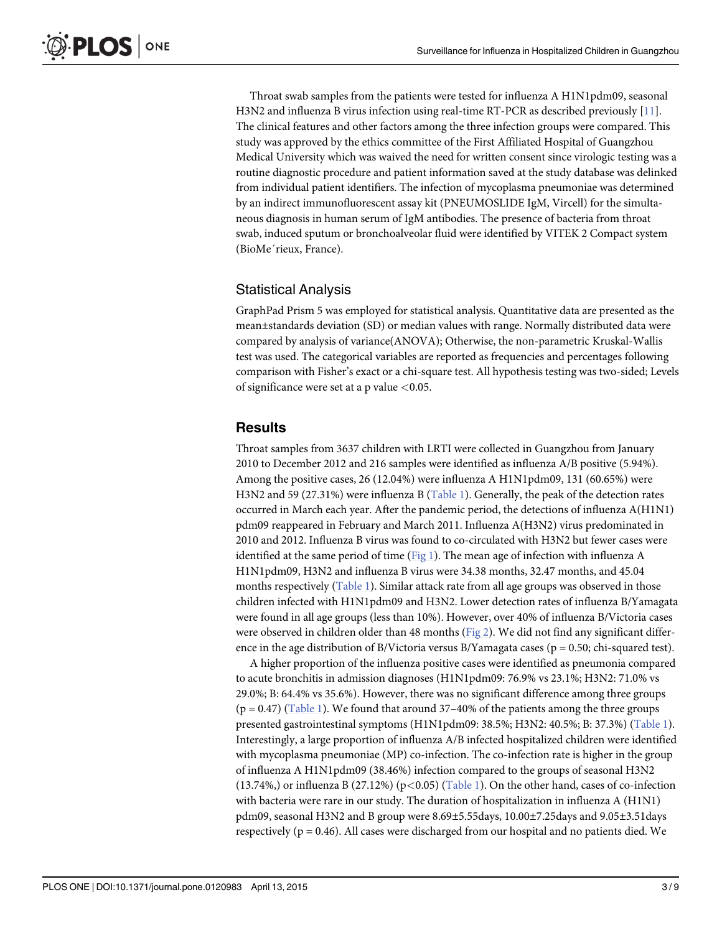<span id="page-2-0"></span>Throat swab samples from the patients were tested for influenza A H1N1pdm09, seasonal H3N2 and influenza B virus infection using real-time RT-PCR as described previously [\[11\]](#page-7-0). The clinical features and other factors among the three infection groups were compared. This study was approved by the ethics committee of the First Affiliated Hospital of Guangzhou Medical University which was waived the need for written consent since virologic testing was a routine diagnostic procedure and patient information saved at the study database was delinked from individual patient identifiers. The infection of mycoplasma pneumoniae was determined by an indirect immunofluorescent assay kit (PNEUMOSLIDE IgM, Vircell) for the simultaneous diagnosis in human serum of IgM antibodies. The presence of bacteria from throat swab, induced sputum or bronchoalveolar fluid were identified by VITEK 2 Compact system (BioMe´rieux, France).

# Statistical Analysis

GraphPad Prism 5 was employed for statistical analysis. Quantitative data are presented as the mean±standards deviation (SD) or median values with range. Normally distributed data were compared by analysis of variance(ANOVA); Otherwise, the non-parametric Kruskal-Wallis test was used. The categorical variables are reported as frequencies and percentages following comparison with Fisher's exact or a chi-square test. All hypothesis testing was two-sided; Levels of significance were set at a p value  $<$  0.05.

# **Results**

Throat samples from 3637 children with LRTI were collected in Guangzhou from January 2010 to December 2012 and 216 samples were identified as influenza A/B positive (5.94%). Among the positive cases, 26 (12.04%) were influenza A H1N1pdm09, 131 (60.65%) were H3N2 and 59 (27.31%) were influenza B [\(Table 1](#page-3-0)). Generally, the peak of the detection rates occurred in March each year. After the pandemic period, the detections of influenza A(H1N1) pdm09 reappeared in February and March 2011. Influenza A(H3N2) virus predominated in 2010 and 2012. Influenza B virus was found to co-circulated with H3N2 but fewer cases were identified at the same period of time ( $Fig 1$ ). The mean age of infection with influenza A H1N1pdm09, H3N2 and influenza B virus were 34.38 months, 32.47 months, and 45.04 months respectively ([Table 1](#page-3-0)). Similar attack rate from all age groups was observed in those children infected with H1N1pdm09 and H3N2. Lower detection rates of influenza B/Yamagata were found in all age groups (less than 10%). However, over 40% of influenza B/Victoria cases were observed in children older than 48 months [\(Fig 2\)](#page-4-0). We did not find any significant difference in the age distribution of B/Victoria versus B/Yamagata cases ( $p = 0.50$ ; chi-squared test).

A higher proportion of the influenza positive cases were identified as pneumonia compared to acute bronchitis in admission diagnoses (H1N1pdm09: 76.9% vs 23.1%; H3N2: 71.0% vs 29.0%; B: 64.4% vs 35.6%). However, there was no significant difference among three groups  $(p = 0.47)$  [\(Table 1\)](#page-3-0). We found that around 37–40% of the patients among the three groups presented gastrointestinal symptoms (H1N1pdm09: 38.5%; H3N2: 40.5%; B: 37.3%) ([Table 1\)](#page-3-0). Interestingly, a large proportion of influenza A/B infected hospitalized children were identified with mycoplasma pneumoniae (MP) co-infection. The co-infection rate is higher in the group of influenza A H1N1pdm09 (38.46%) infection compared to the groups of seasonal H3N2 (13.74%,) or influenza B (27.12%) (p<0.05) [\(Table 1](#page-3-0)). On the other hand, cases of co-infection with bacteria were rare in our study. The duration of hospitalization in influenza A (H1N1) pdm09, seasonal H3N2 and B group were 8.69±5.55days, 10.00±7.25days and 9.05±3.51days respectively ( $p = 0.46$ ). All cases were discharged from our hospital and no patients died. We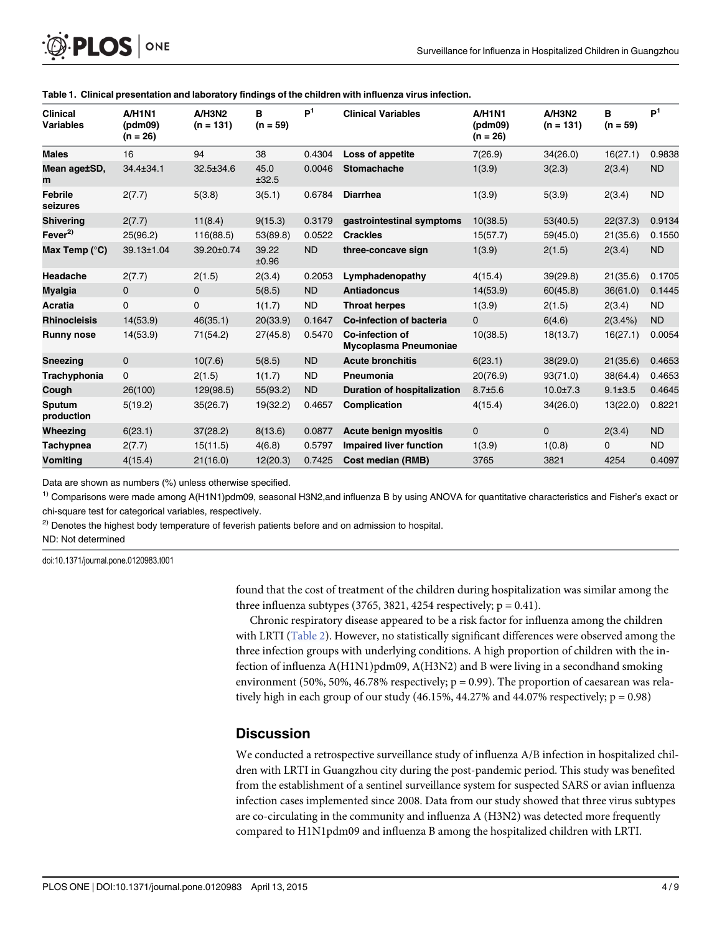| Clinical<br>Variables | A/H1N1<br>(pdm09)<br>$(n = 26)$ | A/H3N2<br>$(n = 131)$ | в<br>$(n = 59)$ | P <sup>1</sup> | <b>Clinical Variables</b>                | <b>A/H1N1</b><br>(pdm09)<br>$(n = 26)$ | A/H3N2<br>$(n = 131)$ | в<br>$(n = 59)$ | P <sup>1</sup> |
|-----------------------|---------------------------------|-----------------------|-----------------|----------------|------------------------------------------|----------------------------------------|-----------------------|-----------------|----------------|
| <b>Males</b>          | 16                              | 94                    | 38              | 0.4304         | Loss of appetite                         | 7(26.9)                                | 34(26.0)              | 16(27.1)        | 0.9838         |
| Mean age±SD,<br>m     | 34.4±34.1                       | 32.5±34.6             | 45.0<br>±32.5   | 0.0046         | <b>Stomachache</b>                       | 1(3.9)                                 | 3(2.3)                | 2(3.4)          | <b>ND</b>      |
| Febrile<br>seizures   | 2(7.7)                          | 5(3.8)                | 3(5.1)          | 0.6784         | <b>Diarrhea</b>                          | 1(3.9)                                 | 5(3.9)                | 2(3.4)          | <b>ND</b>      |
| <b>Shivering</b>      | 2(7.7)                          | 11(8.4)               | 9(15.3)         | 0.3179         | gastrointestinal symptoms                | 10(38.5)                               | 53(40.5)              | 22(37.3)        | 0.9134         |
| Fever <sup>2)</sup>   | 25(96.2)                        | 116(88.5)             | 53(89.8)        | 0.0522         | <b>Crackles</b>                          | 15(57.7)                               | 59(45.0)              | 21(35.6)        | 0.1550         |
| Max Temp (°C)         | 39.13±1.04                      | 39.20±0.74            | 39.22<br>±0.96  | <b>ND</b>      | three-concave sign                       | 1(3.9)                                 | 2(1.5)                | 2(3.4)          | <b>ND</b>      |
| Headache              | 2(7.7)                          | 2(1.5)                | 2(3.4)          | 0.2053         | Lymphadenopathy                          | 4(15.4)                                | 39(29.8)              | 21(35.6)        | 0.1705         |
| Myalgia               | 0                               | $\mathbf{0}$          | 5(8.5)          | ND             | <b>Antiadoncus</b>                       | 14(53.9)                               | 60(45.8)              | 36(61.0)        | 0.1445         |
| Acratia               | 0                               | 0                     | 1(1.7)          | <b>ND</b>      | <b>Throat herpes</b>                     | 1(3.9)                                 | 2(1.5)                | 2(3.4)          | <b>ND</b>      |
| <b>Rhinocleisis</b>   | 14(53.9)                        | 46(35.1)              | 20(33.9)        | 0.1647         | <b>Co-infection of bacteria</b>          | $\mathbf{0}$                           | 6(4.6)                | 2(3.4%)         | <b>ND</b>      |
| <b>Runny nose</b>     | 14(53.9)                        | 71(54.2)              | 27(45.8)        | 0.5470         | Co-infection of<br>Mycoplasma Pneumoniae | 10(38.5)                               | 18(13.7)              | 16(27.1)        | 0.0054         |
| Sneezing              | 0                               | 10(7.6)               | 5(8.5)          | <b>ND</b>      | <b>Acute bronchitis</b>                  | 6(23.1)                                | 38(29.0)              | 21(35.6)        | 0.4653         |
| Trachyphonia          | 0                               | 2(1.5)                | 1(1.7)          | <b>ND</b>      | Pneumonia                                | 20(76.9)                               | 93(71.0)              | 38(64.4)        | 0.4653         |
| Cough                 | 26(100)                         | 129(98.5)             | 55(93.2)        | <b>ND</b>      | <b>Duration of hospitalization</b>       | $8.7 + 5.6$                            | $10.0 \pm 7.3$        | $9.1 \pm 3.5$   | 0.4645         |
| Sputum<br>production  | 5(19.2)                         | 35(26.7)              | 19(32.2)        | 0.4657         | Complication                             | 4(15.4)                                | 34(26.0)              | 13(22.0)        | 0.8221         |
| Wheezing              | 6(23.1)                         | 37(28.2)              | 8(13.6)         | 0.0877         | <b>Acute benign myositis</b>             | $\mathbf{0}$                           | $\mathbf{0}$          | 2(3.4)          | <b>ND</b>      |
| Tachypnea             | 2(7.7)                          | 15(11.5)              | 4(6.8)          | 0.5797         | <b>Impaired liver function</b>           | 1(3.9)                                 | 1(0.8)                | 0               | <b>ND</b>      |
| Vomiting              | 4(15.4)                         | 21(16.0)              | 12(20.3)        | 0.7425         | <b>Cost median (RMB)</b>                 | 3765                                   | 3821                  | 4254            | 0.4097         |

#### [Table 1.](#page-2-0) Clinical presentation and laboratory findings of the children with influenza virus infection.

Data are shown as numbers (%) unless otherwise specified.

 $1)$  Comparisons were made among A(H1N1)pdm09, seasonal H3N2,and influenza B by using ANOVA for quantitative characteristics and Fisher's exact or chi-square test for categorical variables, respectively.

<sup>2)</sup> Denotes the highest body temperature of feverish patients before and on admission to hospital.

ND: Not determined

doi:10.1371/journal.pone.0120983.t001

<span id="page-3-0"></span> $\mathsf{PLOS}\hspace{1pt}$  one

found that the cost of treatment of the children during hospitalization was similar among the three influenza subtypes (3765, 3821, 4254 respectively;  $p = 0.41$ ).

Chronic respiratory disease appeared to be a risk factor for influenza among the children with LRTI ([Table 2\)](#page-5-0). However, no statistically significant differences were observed among the three infection groups with underlying conditions. A high proportion of children with the infection of influenza A(H1N1)pdm09, A(H3N2) and B were living in a secondhand smoking environment (50%, 50%, 46.78% respectively;  $p = 0.99$ ). The proportion of caesarean was relatively high in each group of our study  $(46.15\%, 44.27\% \text{ and } 44.07\% \text{ respectively}; p = 0.98)$ 

#### **Discussion**

We conducted a retrospective surveillance study of influenza A/B infection in hospitalized children with LRTI in Guangzhou city during the post-pandemic period. This study was benefited from the establishment of a sentinel surveillance system for suspected SARS or avian influenza infection cases implemented since 2008. Data from our study showed that three virus subtypes are co-circulating in the community and influenza A (H3N2) was detected more frequently compared to H1N1pdm09 and influenza B among the hospitalized children with LRTI.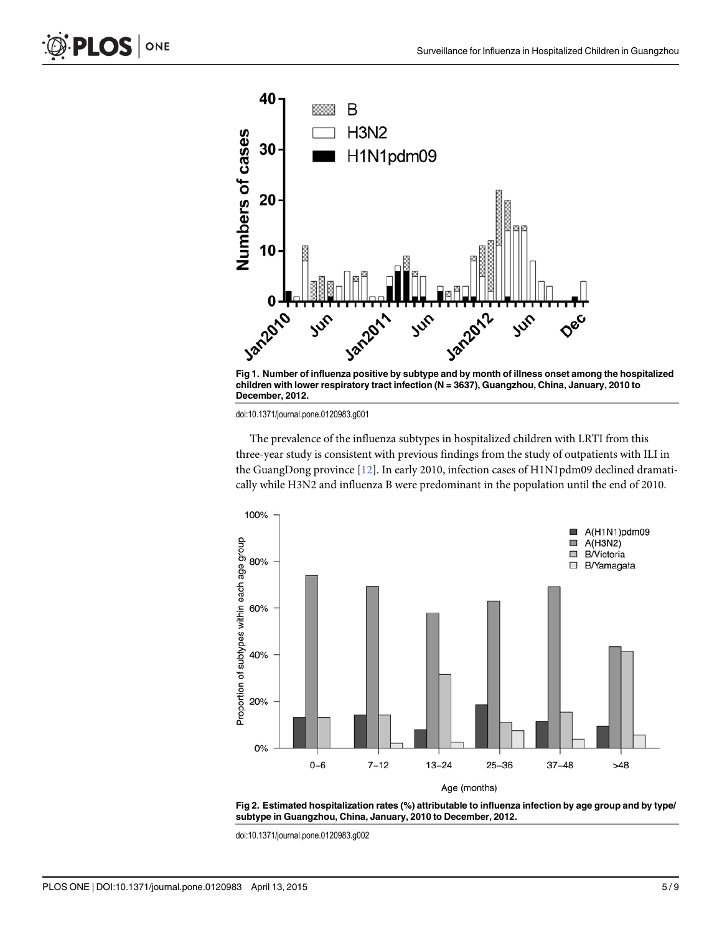<span id="page-4-0"></span>



doi:10.1371/journal.pone.0120983.g001

The prevalence of the influenza subtypes in hospitalized children with LRTI from this three-year study is consistent with previous findings from the study of outpatients with ILI in the GuangDong province [\[12\]](#page-7-0). In early 2010, infection cases of H1N1pdm09 declined dramatically while H3N2 and influenza B were predominant in the population until the end of 2010.





doi:10.1371/journal.pone.0120983.g002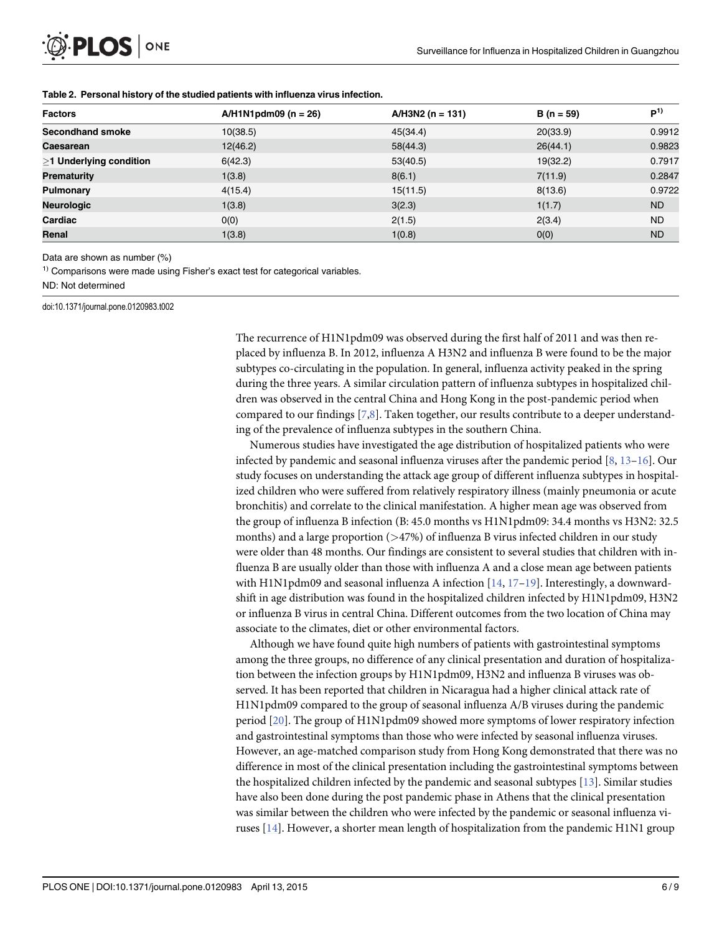<span id="page-5-0"></span>

| <b>Factors</b>            | $A/H1N1pdm09 (n = 26)$ | $A/H3N2$ (n = 131) | $B(n = 59)$ | $P^{1)}$  |
|---------------------------|------------------------|--------------------|-------------|-----------|
| <b>Secondhand smoke</b>   | 10(38.5)               | 45(34.4)           | 20(33.9)    | 0.9912    |
| Caesarean                 | 12(46.2)               | 58(44.3)           | 26(44.1)    | 0.9823    |
| $>1$ Underlying condition | 6(42.3)                | 53(40.5)           | 19(32.2)    | 0.7917    |
| Prematurity               | 1(3.8)                 | 8(6.1)             | 7(11.9)     | 0.2847    |
| Pulmonary                 | 4(15.4)                | 15(11.5)           | 8(13.6)     | 0.9722    |
| <b>Neurologic</b>         | 1(3.8)                 | 3(2.3)             | 1(1.7)      | <b>ND</b> |
| Cardiac                   | O(0)                   | 2(1.5)             | 2(3.4)      | <b>ND</b> |
| Renal                     | 1(3.8)                 | 1(0.8)             | 0(0)        | <b>ND</b> |

#### [Table 2.](#page-3-0) Personal history of the studied patients with influenza virus infection.

Data are shown as number (%)

<sup>1)</sup> Comparisons were made using Fisher's exact test for categorical variables.

ND: Not determined

doi:10.1371/journal.pone.0120983.t002

The recurrence of H1N1pdm09 was observed during the first half of 2011 and was then replaced by influenza B. In 2012, influenza A H3N2 and influenza B were found to be the major subtypes co-circulating in the population. In general, influenza activity peaked in the spring during the three years. A similar circulation pattern of influenza subtypes in hospitalized children was observed in the central China and Hong Kong in the post-pandemic period when compared to our findings [\[7,8](#page-7-0)]. Taken together, our results contribute to a deeper understanding of the prevalence of influenza subtypes in the southern China.

Numerous studies have investigated the age distribution of hospitalized patients who were infected by pandemic and seasonal influenza viruses after the pandemic period  $[8, 13-16]$  $[8, 13-16]$  $[8, 13-16]$  $[8, 13-16]$  $[8, 13-16]$  $[8, 13-16]$  $[8, 13-16]$ . Our study focuses on understanding the attack age group of different influenza subtypes in hospitalized children who were suffered from relatively respiratory illness (mainly pneumonia or acute bronchitis) and correlate to the clinical manifestation. A higher mean age was observed from the group of influenza B infection (B: 45.0 months vs H1N1pdm09: 34.4 months vs H3N2: 32.5 months) and a large proportion (>47%) of influenza B virus infected children in our study were older than 48 months. Our findings are consistent to several studies that children with influenza B are usually older than those with influenza A and a close mean age between patients with H1N1pdm09 and seasonal influenza A infection  $[14, 17-19]$  $[14, 17-19]$  $[14, 17-19]$  $[14, 17-19]$  $[14, 17-19]$  $[14, 17-19]$ . Interestingly, a downwardshift in age distribution was found in the hospitalized children infected by H1N1pdm09, H3N2 or influenza B virus in central China. Different outcomes from the two location of China may associate to the climates, diet or other environmental factors.

Although we have found quite high numbers of patients with gastrointestinal symptoms among the three groups, no difference of any clinical presentation and duration of hospitalization between the infection groups by H1N1pdm09, H3N2 and influenza B viruses was observed. It has been reported that children in Nicaragua had a higher clinical attack rate of H1N1pdm09 compared to the group of seasonal influenza A/B viruses during the pandemic period [\[20](#page-7-0)]. The group of H1N1pdm09 showed more symptoms of lower respiratory infection and gastrointestinal symptoms than those who were infected by seasonal influenza viruses. However, an age-matched comparison study from Hong Kong demonstrated that there was no difference in most of the clinical presentation including the gastrointestinal symptoms between the hospitalized children infected by the pandemic and seasonal subtypes  $[13]$  $[13]$  $[13]$ . Similar studies have also been done during the post pandemic phase in Athens that the clinical presentation was similar between the children who were infected by the pandemic or seasonal influenza viruses [[14\]](#page-7-0). However, a shorter mean length of hospitalization from the pandemic H1N1 group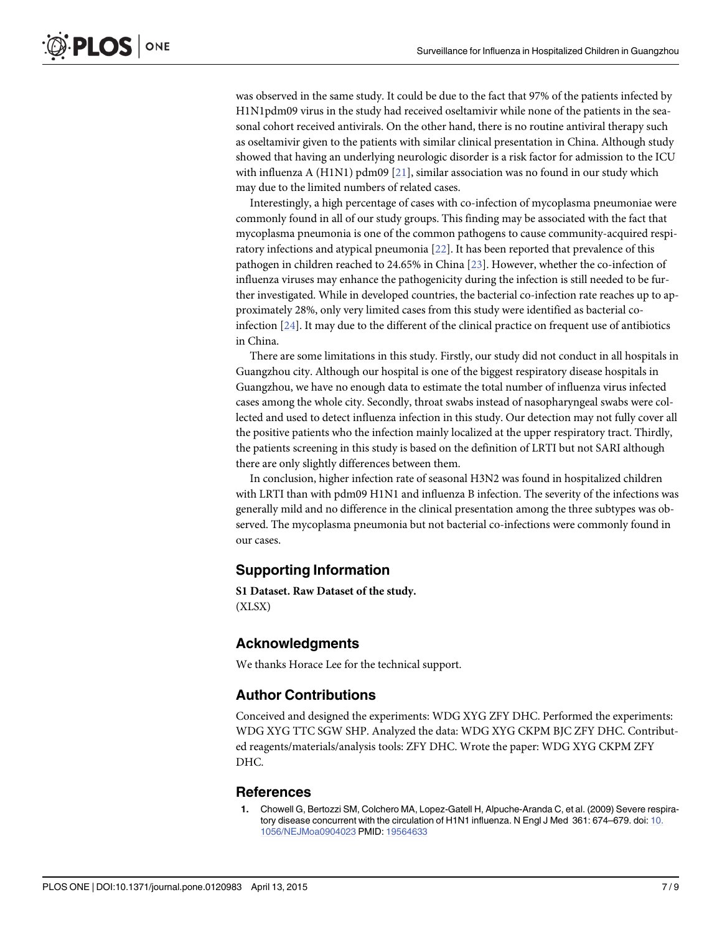<span id="page-6-0"></span>was observed in the same study. It could be due to the fact that 97% of the patients infected by H1N1pdm09 virus in the study had received oseltamivir while none of the patients in the seasonal cohort received antivirals. On the other hand, there is no routine antiviral therapy such as oseltamivir given to the patients with similar clinical presentation in China. Although study showed that having an underlying neurologic disorder is a risk factor for admission to the ICU with influenza A (H1N1) pdm09 [[21](#page-7-0)], similar association was no found in our study which may due to the limited numbers of related cases.

Interestingly, a high percentage of cases with co-infection of mycoplasma pneumoniae were commonly found in all of our study groups. This finding may be associated with the fact that mycoplasma pneumonia is one of the common pathogens to cause community-acquired respiratory infections and atypical pneumonia [\[22\]](#page-7-0). It has been reported that prevalence of this pathogen in children reached to 24.65% in China [[23](#page-8-0)]. However, whether the co-infection of influenza viruses may enhance the pathogenicity during the infection is still needed to be further investigated. While in developed countries, the bacterial co-infection rate reaches up to approximately 28%, only very limited cases from this study were identified as bacterial coinfection [[24\]](#page-8-0). It may due to the different of the clinical practice on frequent use of antibiotics in China.

There are some limitations in this study. Firstly, our study did not conduct in all hospitals in Guangzhou city. Although our hospital is one of the biggest respiratory disease hospitals in Guangzhou, we have no enough data to estimate the total number of influenza virus infected cases among the whole city. Secondly, throat swabs instead of nasopharyngeal swabs were collected and used to detect influenza infection in this study. Our detection may not fully cover all the positive patients who the infection mainly localized at the upper respiratory tract. Thirdly, the patients screening in this study is based on the definition of LRTI but not SARI although there are only slightly differences between them.

In conclusion, higher infection rate of seasonal H3N2 was found in hospitalized children with LRTI than with pdm09 H1N1 and influenza B infection. The severity of the infections was generally mild and no difference in the clinical presentation among the three subtypes was observed. The mycoplasma pneumonia but not bacterial co-infections were commonly found in our cases.

# Supporting Information

[S1 Dataset.](http://www.plosone.org/article/fetchSingleRepresentation.action?uri=info:doi/10.1371/journal.pone.0120983.s001) Raw Dataset of the study. (XLSX)

# Acknowledgments

We thanks Horace Lee for the technical support.

# Author Contributions

Conceived and designed the experiments: WDG XYG ZFY DHC. Performed the experiments: WDG XYG TTC SGW SHP. Analyzed the data: WDG XYG CKPM BJC ZFY DHC. Contributed reagents/materials/analysis tools: ZFY DHC. Wrote the paper: WDG XYG CKPM ZFY DHC.

#### References

[1.](#page-1-0) Chowell G, Bertozzi SM, Colchero MA, Lopez-Gatell H, Alpuche-Aranda C, et al. (2009) Severe respiratory disease concurrent with the circulation of H1N1 influenza. N Engl J Med 361: 674–679. doi: [10.](http://dx.doi.org/10.1056/NEJMoa0904023) [1056/NEJMoa0904023](http://dx.doi.org/10.1056/NEJMoa0904023) PMID: [19564633](http://www.ncbi.nlm.nih.gov/pubmed/19564633)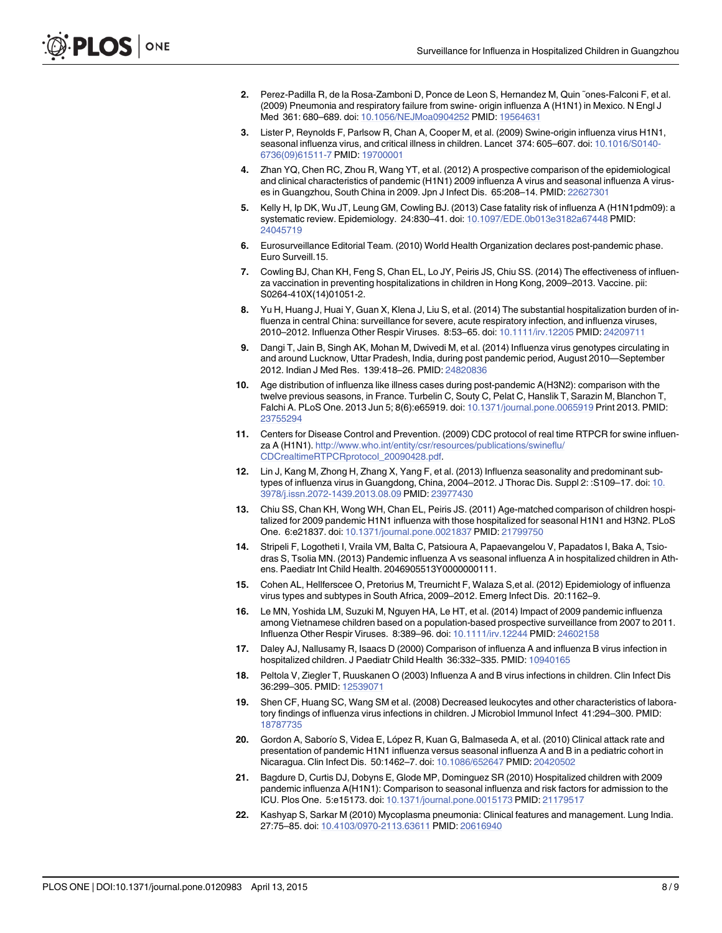- <span id="page-7-0"></span>[2.](#page-1-0) Perez-Padilla R, de la Rosa-Zamboni D, Ponce de Leon S, Hernandez M, Quin ˜ones-Falconi F, et al. (2009) Pneumonia and respiratory failure from swine- origin influenza A (H1N1) in Mexico. N Engl J Med 361: 680–689. doi: [10.1056/NEJMoa0904252](http://dx.doi.org/10.1056/NEJMoa0904252) PMID: [19564631](http://www.ncbi.nlm.nih.gov/pubmed/19564631)
- 3. Lister P, Reynolds F, Parlsow R, Chan A, Cooper M, et al. (2009) Swine-origin influenza virus H1N1, seasonal influenza virus, and critical illness in children. Lancet 374: 605–607. doi: [10.1016/S0140-](http://dx.doi.org/10.1016/S0140-6736(09)61511-7) [6736\(09\)61511-7](http://dx.doi.org/10.1016/S0140-6736(09)61511-7) PMID: [19700001](http://www.ncbi.nlm.nih.gov/pubmed/19700001)
- [4.](#page-1-0) Zhan YQ, Chen RC, Zhou R, Wang YT, et al. (2012) A prospective comparison of the epidemiological and clinical characteristics of pandemic (H1N1) 2009 influenza A virus and seasonal influenza A viruses in Guangzhou, South China in 2009. Jpn J Infect Dis. 65:208–14. PMID: [22627301](http://www.ncbi.nlm.nih.gov/pubmed/22627301)
- [5.](#page-1-0) Kelly H, Ip DK, Wu JT, Leung GM, Cowling BJ. (2013) Case fatality risk of influenza A (H1N1pdm09): a systematic review. Epidemiology. 24:830–41. doi: [10.1097/EDE.0b013e3182a67448](http://dx.doi.org/10.1097/EDE.0b013e3182a67448) PMID: [24045719](http://www.ncbi.nlm.nih.gov/pubmed/24045719)
- [6.](#page-1-0) Eurosurveillance Editorial Team. (2010) World Health Organization declares post-pandemic phase. Euro Surveill.15.
- [7.](#page-1-0) Cowling BJ, Chan KH, Feng S, Chan EL, Lo JY, Peiris JS, Chiu SS. (2014) The effectiveness of influenza vaccination in preventing hospitalizations in children in Hong Kong, 2009–2013. Vaccine. pii: S0264-410X(14)01051-2.
- [8.](#page-1-0) Yu H, Huang J, Huai Y, Guan X, Klena J, Liu S, et al. (2014) The substantial hospitalization burden of influenza in central China: surveillance for severe, acute respiratory infection, and influenza viruses, 2010–2012. Influenza Other Respir Viruses. 8:53–65. doi: [10.1111/irv.12205](http://dx.doi.org/10.1111/irv.12205) PMID: [24209711](http://www.ncbi.nlm.nih.gov/pubmed/24209711)
- 9. Dangi T, Jain B, Singh AK, Mohan M, Dwivedi M, et al. (2014) Influenza virus genotypes circulating in and around Lucknow, Uttar Pradesh, India, during post pandemic period, August 2010—September 2012. Indian J Med Res. 139:418–26. PMID: [24820836](http://www.ncbi.nlm.nih.gov/pubmed/24820836)
- [10.](#page-1-0) Age distribution of influenza like illness cases during post-pandemic A(H3N2): comparison with the twelve previous seasons, in France. Turbelin C, Souty C, Pelat C, Hanslik T, Sarazin M, Blanchon T, Falchi A. PLoS One. 2013 Jun 5; 8(6):e65919. doi: [10.1371/journal.pone.0065919](http://dx.doi.org/10.1371/journal.pone.0065919) Print 2013. PMID: [23755294](http://www.ncbi.nlm.nih.gov/pubmed/23755294)
- [11.](#page-2-0) Centers for Disease Control and Prevention. (2009) CDC protocol of real time RTPCR for swine influenza A (H1N1). [http://www.who.int/entity/csr/resources/publications/swineflu/](http://www.who.int/entity/csr/resources/publications/swineflu/CDCrealtimeRTPCRprotocol_20090428.pdf) [CDCrealtimeRTPCRprotocol\\_20090428.pdf](http://www.who.int/entity/csr/resources/publications/swineflu/CDCrealtimeRTPCRprotocol_20090428.pdf).
- [12.](#page-4-0) Lin J, Kang M, Zhong H, Zhang X, Yang F, et al. (2013) Influenza seasonality and predominant sub-types of influenza virus in Guangdong, China, 2004–2012. J Thorac Dis. Suppl 2: :S109–17. doi: [10.](http://dx.doi.org/10.3978/j.issn.2072-1439.2013.08.09) [3978/j.issn.2072-1439.2013.08.09](http://dx.doi.org/10.3978/j.issn.2072-1439.2013.08.09) PMID: [23977430](http://www.ncbi.nlm.nih.gov/pubmed/23977430)
- [13.](#page-5-0) Chiu SS, Chan KH, Wong WH, Chan EL, Peiris JS. (2011) Age-matched comparison of children hospitalized for 2009 pandemic H1N1 influenza with those hospitalized for seasonal H1N1 and H3N2. PLoS One. 6:e21837. doi: [10.1371/journal.pone.0021837](http://dx.doi.org/10.1371/journal.pone.0021837) PMID: [21799750](http://www.ncbi.nlm.nih.gov/pubmed/21799750)
- [14.](#page-5-0) Stripeli F, Logotheti I, Vraila VM, Balta C, Patsioura A, Papaevangelou V, Papadatos I, Baka A, Tsiodras S, Tsolia MN. (2013) Pandemic influenza A vs seasonal influenza A in hospitalized children in Athens. Paediatr Int Child Health. 2046905513Y0000000111.
- 15. Cohen AL, Hellferscee O, Pretorius M, Treurnicht F, Walaza S,et al. (2012) Epidemiology of influenza virus types and subtypes in South Africa, 2009–2012. Emerg Infect Dis. 20:1162–9.
- [16.](#page-5-0) Le MN, Yoshida LM, Suzuki M, Nguyen HA, Le HT, et al. (2014) Impact of 2009 pandemic influenza among Vietnamese children based on a population-based prospective surveillance from 2007 to 2011. Influenza Other Respir Viruses. 8:389–96. doi: [10.1111/irv.12244](http://dx.doi.org/10.1111/irv.12244) PMID: [24602158](http://www.ncbi.nlm.nih.gov/pubmed/24602158)
- [17.](#page-5-0) Daley AJ, Nallusamy R, Isaacs D (2000) Comparison of influenza A and influenza B virus infection in hospitalized children. J Paediatr Child Health 36:332–335. PMID: [10940165](http://www.ncbi.nlm.nih.gov/pubmed/10940165)
- 18. Peltola V, Ziegler T, Ruuskanen O (2003) Influenza A and B virus infections in children. Clin Infect Dis 36:299–305. PMID: [12539071](http://www.ncbi.nlm.nih.gov/pubmed/12539071)
- [19.](#page-5-0) Shen CF, Huang SC, Wang SM et al. (2008) Decreased leukocytes and other characteristics of laboratory findings of influenza virus infections in children. J Microbiol Immunol Infect 41:294–300. PMID: [18787735](http://www.ncbi.nlm.nih.gov/pubmed/18787735)
- [20.](#page-5-0) Gordon A, Saborío S, Videa E, López R, Kuan G, Balmaseda A, et al. (2010) Clinical attack rate and presentation of pandemic H1N1 influenza versus seasonal influenza A and B in a pediatric cohort in Nicaragua. Clin Infect Dis. 50:1462–7. doi: [10.1086/652647](http://dx.doi.org/10.1086/652647) PMID: [20420502](http://www.ncbi.nlm.nih.gov/pubmed/20420502)
- [21.](#page-6-0) Bagdure D, Curtis DJ, Dobyns E, Glode MP, Dominguez SR (2010) Hospitalized children with 2009 pandemic influenza A(H1N1): Comparison to seasonal influenza and risk factors for admission to the ICU. Plos One. 5:e15173. doi: [10.1371/journal.pone.0015173](http://dx.doi.org/10.1371/journal.pone.0015173) PMID: [21179517](http://www.ncbi.nlm.nih.gov/pubmed/21179517)
- [22.](#page-6-0) Kashyap S, Sarkar M (2010) Mycoplasma pneumonia: Clinical features and management. Lung India. 27:75–85. doi: [10.4103/0970-2113.63611](http://dx.doi.org/10.4103/0970-2113.63611) PMID: [20616940](http://www.ncbi.nlm.nih.gov/pubmed/20616940)